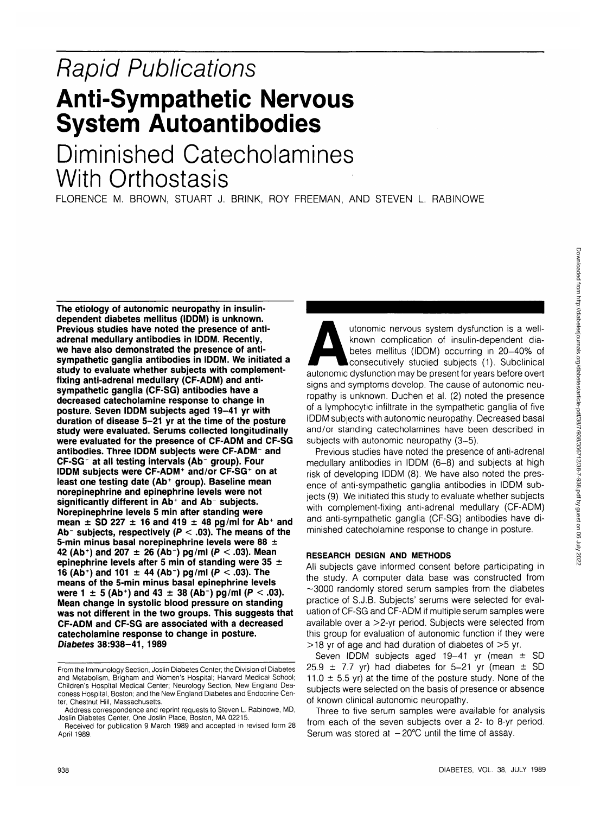# Rapid Publications **Anti-Sympathetic Nervous System Autoantibodies**

# Diminished Catecholamines With Orthostasis

FLORENCE M. BROWN, STUART J. BRINK, ROY FREEMAN, AND STEVEN L. RABINOWE

**The etiology of autonomic neuropathy in insulindependent diabetes mellitus (IDDM) is unknown. Previous studies have noted the presence of antiadrenal medullary antibodies in IDDM. Recently, we have also demonstrated the presence of antisympathetic ganglia antibodies in IDDM. We initiated a study to evaluate whether subjects with complementfixing anti-adrenal medullary (CF-ADM) and antisympathetic ganglia (CF-SG) antibodies have a decreased catecholamine response to change in posture. Seven IDDM subjects aged 19-41 yr with duration of disease 5-21 yr at the time of the posture study were evaluated. Serums collected longitudinally were evaluated for the presence of CF-ADM and CF-SG antibodies. Three IDDM subjects were CF-ADM - and CF-SG - at all testing intervals (Ab group). Four IDDM subjects were CF-ADM<sup>+</sup> and/or CF-SG<sup>+</sup> on at least one testing date (Ab<sup>+</sup> group). Baseline mean norepinephrine and epinephrine levels were not significantly different in Ab<sup>+</sup> and Ab subjects. Norepinephrine levels 5 min after standing were mean ± SD 227 ±1 6 and 419 ± 48 pg/ml for Ab<sup>+</sup> and Ab~ subjects, respectively (P < .03). The means of the 5-min minus basal norepinephrine levels were 88 ± 42 (Ab<sup>+</sup>) and 207 + 26 (Ab<sup>-</sup>) pg/ml (P < 03). Mean epinephrine levels after 5 min of standing were 35 ± 16 (Ab<sup>+</sup> ) and 101 ± 44 (Ab) pg/ml (P < .03). The means of the 5-min minus basal epinephrine levels were 1 ± 5 (Ab<sup>+</sup> ) and 43 ± 38 (Ab) pg/ml (P < .03). Mean change in systolic blood pressure on standing was not different in the two groups. This suggests that CF-ADM and CF-SG are associated with a decreased catecholamine response to change in posture. Diabetes 38:938-41, 1989**

utonomic nervous system dysfunction is a wellknown complication of insulin-dependent diabetes mellitus (IDDM) occurring in 20-40% of consecutively studied subjects (1). Subclinical autonomic dysfunction may be present for years before overt signs and symptoms develop. The cause of autonomic neuropathy is unknown. Duchen et al. (2) noted the presence of a lymphocytic infiltrate in the sympathetic ganglia of five IDDM subjects with autonomic neuropathy. Decreased basal and/or standing catecholamines have been described in subjects with autonomic neuropathy (3-5).

Previous studies have noted the presence of anti-adrenal medullary antibodies in IDDM (6-8) and subjects at high risk of developing IDDM (8). We have also noted the presence of anti-sympathetic ganglia antibodies in IDDM subjects (9). We initiated this study to evaluate whether subjects with complement-fixing anti-adrenal medullary (CF-ADM) and anti-sympathetic ganglia (CF-SG) antibodies have diminished catecholamine response to change in posture.

## **RESEARCH DESIGN AND METHODS**

All subjects gave informed consent before participating in the study. A computer data base was constructed from  $\sim$ 3000 randomly stored serum samples from the diabetes practice of S.J.B. Subjects' serums were selected for evaluation of CF-SG and CF-ADM if multiple serum samples were available over a >2-yr period. Subjects were selected from this group for evaluation of autonomic function if they were  $>$ 18 yr of age and had duration of diabetes of  $>$ 5 yr.

Seven IDDM subjects aged  $19-41$  yr (mean  $\pm$  SD 25.9  $\pm$  7.7 yr) had diabetes for 5-21 yr (mean  $\pm$  SD 11.0  $\pm$  5.5 yr) at the time of the posture study. None of the subjects were selected on the basis of presence or absence of known clinical autonomic neuropathy.

Three to five serum samples were available for analysis from each of the seven subjects over a 2- to 8-yr period. Serum was stored at  $-20^{\circ}$ C until the time of assay.

From the Immunology Section, Joslin Diabetes Center; the Division of Diabetes and Metabolism, Brigham and Women's Hospital; Harvard Medical School; Children's Hospital Medical Center; Neurology Section, New England Deaconess Hospital, Boston; and the New England Diabetes and Endocrine Center, Chestnut Hill, Massachusetts.

Address correspondence and reprint requests to Steven L. Rabinowe, MD, Joslin Diabetes Center, One Joslin Place, Boston, MA 02215.

Received for publication 9 March 1989 and accepted in revised form 28 April 1989.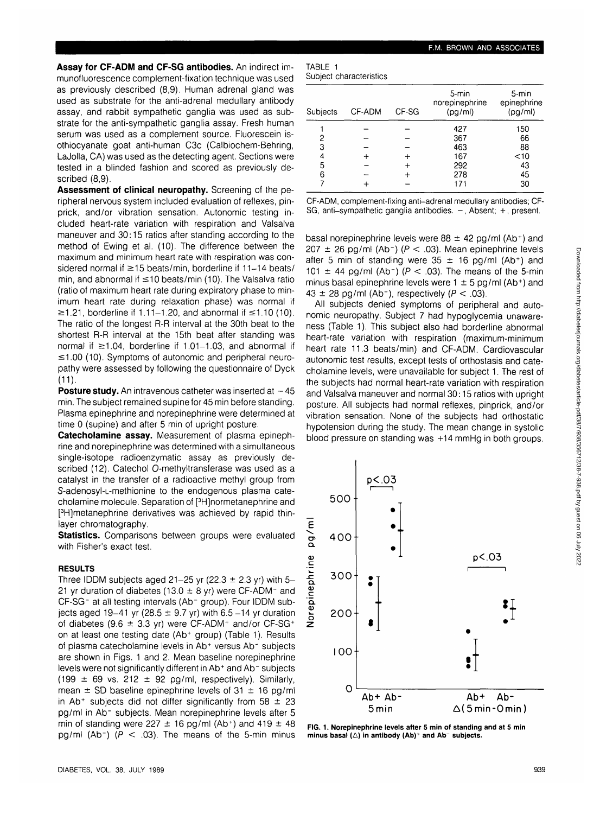**Assay for CF-ADM and CF-SG antibodies.** An indirect immunofluorescence complement-fixation technique was used as previously described (8,9). Human adrenal gland was used as substrate for the anti-adrenal medullary antibody assay, and rabbit sympathetic ganglia was used as substrate for the anti-sympathetic ganglia assay. Fresh human serum was used as a complement source. Fluorescein isothiocyanate goat anti-human C3c (Calbiochem-Behring, LaJolla, CA) was used as the detecting agent. Sections were tested in a blinded fashion and scored as previously described (8,9).

**Assessment of clinical neuropathy.** Screening of the peripheral nervous system included evaluation of reflexes, pinprick, and/or vibration sensation. Autonomic testing included heart-rate variation with respiration and Valsalva maneuver and 30:15 ratios after standing according to the method of Ewing et al. (10). The difference between the maximum and minimum heart rate with respiration was considered normal if  $\geq$ 15 beats/min, borderline if 11-14 beats/ min, and abnormal if <10 beats/min (10). The Valsalva ratio (ratio of maximum heart rate during expiratory phase to minimum heart rate during relaxation phase) was normal if  $\geq$ 1.21, borderline if 1.11–1.20, and abnormal if  $\leq$ 1.10 (10). The ratio of the longest R-R interval at the 30th beat to the shortest R-R interval at the 15th beat after standing was normal if  $\geq 1.04$ , borderline if 1.01-1.03, and abnormal if  $\leq$ 1.00 (10). Symptoms of autonomic and peripheral neuropathy were assessed by following the questionnaire of Dyck (11).

**Posture study.** An intravenous catheter was inserted at  $-45$ min. The subject remained supine for 45 min before standing. Plasma epinephrine and norepinephrine were determined at time 0 (supine) and after 5 min of upright posture.

**Catecholamine assay.** Measurement of plasma epinephrine and norepinephrine was determined with a simultaneous single-isotope radioenzymatic assay as previously described (12). Catechol O-methyltransferase was used as a catalyst in the transfer of a radioactive methyl group from S-adenosyl-L-methionine to the endogenous plasma catecholamine molecule. Separation of [3 H]normetanephrine and [<sup>3</sup>H]metanephrine derivatives was achieved by rapid thinlayer chromatography.

**Statistics.** Comparisons between groups were evaluated with Fisher's exact test.

### **RESULTS**

Three IDDM subjects aged 21-25 yr (22.3  $\pm$  2.3 yr) with 5-21 yr duration of diabetes (13.0  $\pm$  8 yr) were CF-ADM<sup>-</sup> and CF-SG<sup>-</sup> at all testing intervals (Ab<sup>-</sup> group). Four IDDM subjects aged 19-41 yr (28.5  $\pm$  9.7 yr) with 6.5-14 yr duration of diabetes (9.6  $\pm$  3.3 yr) were CF-ADM<sup>+</sup> and/or CF-SG<sup>+</sup> on at least one testing date (Ab<sup>+</sup> group) (Table 1). Results of plasma catecholamine levels in Ab<sup>+</sup> versus Ab<sup>-</sup> subjects are shown in Figs. 1 and 2. Mean baseline norepinephrine levels were not significantly different in Ab<sup>+</sup> and Ab<sup>-</sup> subjects (199  $\pm$  69 vs. 212  $\pm$  92 pg/ml, respectively). Similarly, mean  $\pm$  SD baseline epinephrine levels of 31  $\pm$  16 pg/ml in Ab<sup>+</sup> subjects did not differ significantly from 58  $\pm$  23 pg/ml in Ab<sup>-</sup> subjects. Mean norepinephrine levels after 5 min of standing were 227  $\pm$  16 pg/ml (Ab<sup>+</sup>) and 419  $\pm$  48 pg/ml (Ab<sup>-</sup>) ( $P < .03$ ). The means of the 5-min minus

| TABLE 1 |                         |
|---------|-------------------------|
|         | Subject characteristics |

| Subjects | CF-ADM | CF-SG | 5-min<br>norepinephrine<br>(pg/ml) | 5-min<br>epinephrine<br>(pg/ml) |
|----------|--------|-------|------------------------------------|---------------------------------|
|          |        |       | 427                                | 150                             |
| 2        |        |       | 367                                | 66                              |
| 3        |        |       | 463                                | 88                              |
|          |        |       | 167                                | $<$ 10                          |
| 5        |        |       | 292                                | 43                              |
| 6        |        |       | 278                                | 45                              |
|          |        |       | 171                                | 30                              |

CF-ADM, complement-fixing anti-adrenal medullary antibodies; CF-SG, anti-sympathetic ganglia antibodies. -, Absent; +, present.

basal norepinephrine levels were  $88 \pm 42$  pg/ml (Ab+) and 207  $\pm$  26 pg/ml (Ab<sup>-</sup>) ( $P < .03$ ). Mean epinephrine levels after 5 min of standing were  $35 \pm 16$  pg/ml (Ab+) and 101  $\pm$  44 pg/ml (Ab<sup>-</sup>) ( $P < .03$ ). The means of the 5-min minus basal epinephrine levels were  $1 \pm 5$  pg/ml (Ab+) and  $43 \pm 28$  pg/ml (Ab<sup>-</sup>), respectively ( $P < .03$ ).

All subjects denied symptoms of peripheral and autonomic neuropathy. Subject 7 had hypoglycemia unawareness (Table 1). This subject also had borderline abnormal heart-rate variation with respiration (maximum-minimum heart rate 11.3 beats/min) and CF-ADM. Cardiovascular autonomic test results, except tests of orthostasis and catecholamine levels, were unavailable for subject 1. The rest of the subjects had normal heart-rate variation with respiration and Valsalva maneuver and normal 30:15 ratios with upright posture. All subjects had normal reflexes, pinprick, and/or vibration sensation. None of the subjects had orthostatic hypotension during the study. The mean change in systolic blood pressure on standing was +14 mmHg in both groups.



**FIG. 1. Norepinephrine levels after 5 min of standing and at 5 min minus basal (A) in antibody (Ab)<sup>+</sup> and Ab" subjects.**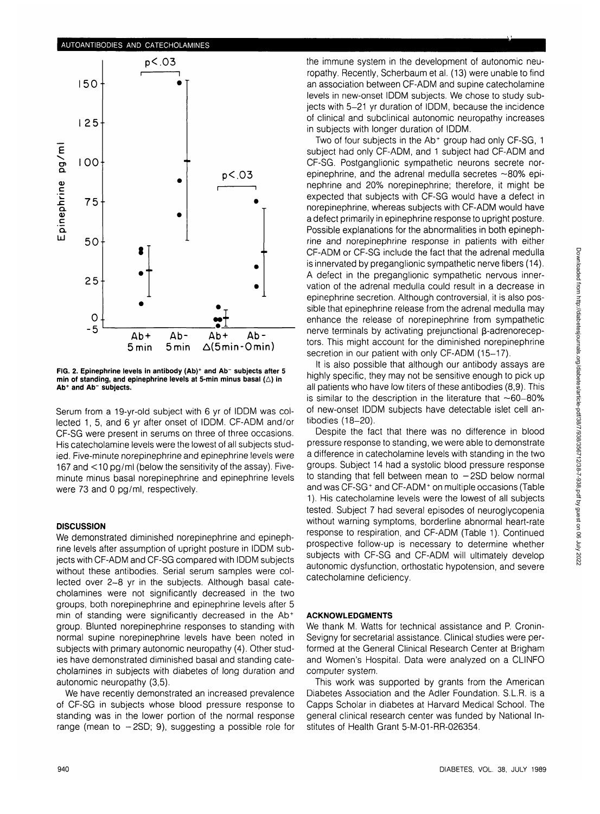# **AUTOANTIBODIES AND CATECHOLAMINES p<.03 50- 1 25- 100 • • p<.03**  $\bullet$ **75- • Q. C Q. UJ 50 • 25 o.** -5 **Ab+ Ab- Ab+ Ab-5min 5min A(5min-0min)**

**FIG. 2. Epinephrine levels in antibody (Ab)<sup>+</sup> and Ab" subjects after 5 min of standing, and epinephrine levels at 5-min minus basal (A) in Ab<sup>+</sup> and Ab" subjects.**

Serum from a 19-yr-old subject with 6 yr of IDDM was collected 1, 5, and 6 yr after onset of IDDM. CF-ADM and/or CF-SG were present in serums on three of three occasions. His catecholamine levels were the lowest of all subjects studied. Five-minute norepinephrine and epinephrine levels were 167 and  $\lt$ 10 pg/ml (below the sensitivity of the assay). Fiveminute minus basal norepinephrine and epinephrine levels were 73 and 0 pg/ml, respectively.

## **DISCUSSION**

We demonstrated diminished norepinephrine and epinephrine levels after assumption of upright posture in IDDM subjects with CF-ADM and CF-SG compared with IDDM subjects without these antibodies. Serial serum samples were collected over 2-8 yr in the subjects. Although basal catecholamines were not significantly decreased in the two groups, both norepinephrine and epinephrine levels after 5 min of standing were significantly decreased in the Ab<sup>+</sup> group. Blunted norepinephrine responses to standing with normal supine norepinephrine levels have been noted in subjects with primary autonomic neuropathy (4). Other studies have demonstrated diminished basal and standing catecholamines in subjects with diabetes of long duration and autonomic neuropathy (3,5).

We have recently demonstrated an increased prevalence of CF-SG in subjects whose blood pressure response to standing was in the lower portion of the normal response range (mean to  $-2SD$ ; 9), suggesting a possible role for the immune system in the development of autonomic neuropathy. Recently, Scherbaum et al. (13) were unable to find an association between CF-ADM and supine catecholamine levels in new-onset IDDM subjects. We chose to study subjects with 5-21 yr duration of IDDM, because the incidence of clinical and subclinical autonomic neuropathy increases in subjects with longer duration of IDDM.

Two of four subjects in the Ab<sup>+</sup> group had only CF-SG, 1 subject had only CF-ADM, and 1 subject had CF-ADM and CF-SG. Postganglionic sympathetic neurons secrete norepinephrine, and the adrenal medulla secretes  $\sim$ 80% epinephrine and 20% norepinephrine; therefore, it might be expected that subjects with CF-SG would have a defect in norepinephrine, whereas subjects with CF-ADM would have a defect primarily in epinephrine response to upright posture. Possible explanations for the abnormalities in both epinephrine and norepinephrine response in patients with either CF-ADM or CF-SG include the fact that the adrenal medulla is innervated by preganglionic sympathetic nerve fibers (14). A defect in the preganglionic sympathetic nervous innervation of the adrenal medulla could result in a decrease in epinephrine secretion. Although controversial, it is also possible that epinephrine release from the adrenal medulla may enhance the release of norepinephrine from sympathetic nerve terminals by activating prejunctional  $\beta$ -adrenoreceptors. This might account for the diminished norepinephrine secretion in our patient with only CF-ADM (15-17).

It is also possible that although our antibody assays are highly specific, they may not be sensitive enough to pick up all patients who have low titers of these antibodies (8,9). This is similar to the description in the literature that  $~60-80\%$ of new-onset IDDM subjects have detectable islet cell antibodies (18-20).

Despite the fact that there was no difference in blood pressure response to standing, we were able to demonstrate a difference in catecholamine levels with standing in the two groups. Subject 14 had a systolic blood pressure response to standing that fell between mean to  $-2SD$  below normal and was CF-SG<sup>+</sup> and CF-ADM<sup>+</sup> on multiple occasions (Table 1). His catecholamine levels were the lowest of all subjects tested. Subject 7 had several episodes of neuroglycopenia without warning symptoms, borderline abnormal heart-rate response to respiration, and CF-ADM (Table 1). Continued prospective follow-up is necessary to determine whether subjects with CF-SG and CF-ADM will ultimately develop autonomic dysfunction, orthostatic hypotension, and severe catecholamine deficiency.

## **ACKNOWLEDGMENTS**

We thank M. Watts for technical assistance and P. Cronin-Sevigny for secretarial assistance. Clinical studies were performed at the General Clinical Research Center at Brigham and Women's Hospital. Data were analyzed on a CLINFO computer system.

This work was supported by grants from the American Diabetes Association and the Adler Foundation. S.L.R. is a Capps Scholar in diabetes at Harvard Medical School. The general clinical research center was funded by National Institutes of Health Grant 5-M-01-RR-026354.